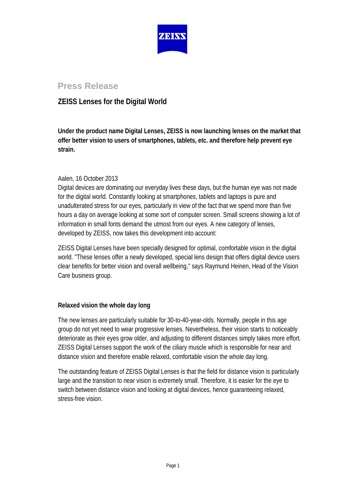

# **Press Release**

## **ZEISS Lenses for the Digital World**

**Under the product name Digital Lenses, ZEISS is now launching lenses on the market that offer better vision to users of smartphones, tablets, etc. and therefore help prevent eye strain.**

### Aalen, 16 October 2013

Digital devices are dominating our everyday lives these days, but the human eye was not made for the digital world. Constantly looking at smartphones, tablets and laptops is pure and unadulterated stress for our eyes, particularly in view of the fact that we spend more than five hours a day on average looking at some sort of computer screen. Small screens showing a lot of information in small fonts demand the utmost from our eyes. A new category of lenses, developed by ZEISS, now takes this development into account:

ZEISS Digital Lenses have been specially designed for optimal, comfortable vision in the digital world. "These lenses offer a newly developed, special lens design that offers digital device users clear benefits for better vision and overall wellbeing," says Raymund Heinen, Head of the Vision Care business group.

## **Relaxed vision the whole day long**

The new lenses are particularly suitable for 30-to-40-year-olds. Normally, people in this age group do not yet need to wear progressive lenses. Nevertheless, their vision starts to noticeably deteriorate as their eyes grow older, and adjusting to different distances simply takes more effort. ZEISS Digital Lenses support the work of the ciliary muscle which is responsible for near and distance vision and therefore enable relaxed, comfortable vision the whole day long.

The outstanding feature of ZEISS Digital Lenses is that the field for distance vision is particularly large and the transition to near vision is extremely small. Therefore, it is easier for the eye to switch between distance vision and looking at digital devices, hence guaranteeing relaxed, stress-free vision.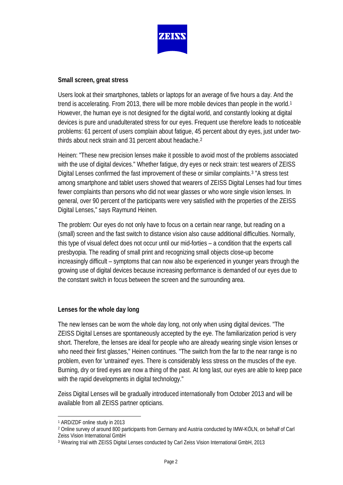

### **Small screen, great stress**

Users look at their smartphones, tablets or laptops for an average of five hours a day. And the trend is accelerating. From 20[1](#page-1-0)3, there will be more mobile devices than people in the world.<sup>1</sup> However, the human eye is not designed for the digital world, and constantly looking at digital devices is pure and unadulterated stress for our eyes. Frequent use therefore leads to noticeable problems: 61 percent of users complain about fatigue, 45 percent about dry eyes, just under twothirds about neck strain and 31 percent about headache.[2](#page-1-1)

Heinen: "These new precision lenses make it possible to avoid most of the problems associated with the use of digital devices." Whether fatigue, dry eyes or neck strain: test wearers of ZEISS Digital Lenses confirmed the fast improvement of these or similar complaints[.3](#page-1-2) "A stress test among smartphone and tablet users showed that wearers of ZEISS Digital Lenses had four times fewer complaints than persons who did not wear glasses or who wore single vision lenses. In general, over 90 percent of the participants were very satisfied with the properties of the ZEISS Digital Lenses," says Raymund Heinen.

The problem: Our eyes do not only have to focus on a certain near range, but reading on a (small) screen and the fast switch to distance vision also cause additional difficulties. Normally, this type of visual defect does not occur until our mid-forties – a condition that the experts call presbyopia. The reading of small print and recognizing small objects close-up become increasingly difficult – symptoms that can now also be experienced in younger years through the growing use of digital devices because increasing performance is demanded of our eyes due to the constant switch in focus between the screen and the surrounding area.

## **Lenses for the whole day long**

The new lenses can be worn the whole day long, not only when using digital devices. "The ZEISS Digital Lenses are spontaneously accepted by the eye. The familiarization period is very short. Therefore, the lenses are ideal for people who are already wearing single vision lenses or who need their first glasses," Heinen continues. "The switch from the far to the near range is no problem, even for 'untrained' eyes. There is considerably less stress on the muscles of the eye. Burning, dry or tired eyes are now a thing of the past. At long last, our eyes are able to keep pace with the rapid developments in digital technology."

Zeiss Digital Lenses will be gradually introduced internationally from October 2013 and will be available from all ZEISS partner opticians.

<span id="page-1-0"></span><sup>1</sup> ARD/ZDF online study in 2013  $\overline{\phantom{a}}$ 

<span id="page-1-1"></span><sup>2</sup> Online survey of around 800 participants from Germany and Austria conducted by IMW-KÖLN, on behalf of Carl Zeiss Vision International GmbH

<span id="page-1-2"></span><sup>3</sup> Wearing trial with ZEISS Digital Lenses conducted by Carl Zeiss Vision International GmbH, 2013